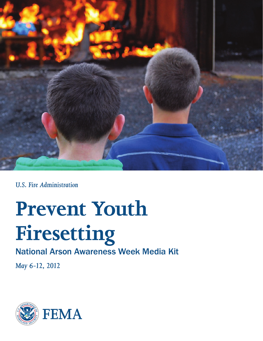

*U.S. Fire Administration*

# **Prevent Youth Firesetting**

### National Arson Awareness Week Media Kit

*May 6-12, 2012*

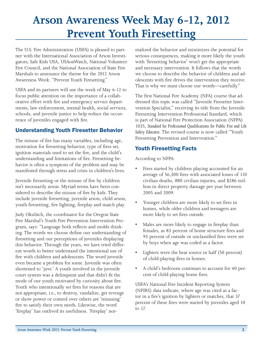## **Arson Awareness Week May 6-12, 2012 Prevent Youth Firesetting**

The U.S. Fire Administration (USFA) is pleased to partner with the International Association of Arson Investigators; Safe Kids USA, USAonWatch, National Volunteer Fire Council, and the National Association of State Fire Marshals to announce the theme for the 2012 Arson Awareness Week: "Prevent Youth Firesetting."

USFA and its partners will use the week of May 6-12 to focus public attention on the importance of a collaborative effort with fire and emergency service departments, law enforcement, mental health, social services, schools, and juvenile justice to help reduce the occurrence of juveniles engaged with fire.

#### Understanding Youth Firesetter Behavior

The misuse of fire has many variables, including age, motivation for firesetting behavior, type of fires set, ignition materials used to set the fire, and the child's understanding and limitations of fire. Firesetting behavior is often a symptom of the problem and may be manifested through stress and crisis in children's lives.

Juvenile firesetting or the misuse of fire by children isn't necessarily arson. Myriad terms have been considered to describe the misuse of fire by kids. They include juvenile firesetting, juvenile arson, child arson, youth firesetting, fire lighting, fireplay and match play.

Judy Okulitch, the coordinator for the Oregon State Fire Marshal's Youth Fire Prevention Intervention Program, says: "Language both reflects and molds thinking. The words we choose define our understanding of firesetting and our perceptions of juveniles displaying this behavior. Through the years, we have tried different words to better understand the intentional use of fire with children and adolescents. The word juvenile even became a problem for some. Juvenile was often shortened to 'juve.' A youth involved in the juvenile court system was a delinquent and that didn't fit the mode of our youth motivated by curiosity about fire. Youth who intentionally set fires for reasons that are not appropriate, i.e., to destroy, vandalize, get revenge or show power or control over others are 'misusing' fire to satisfy their own needs. Likewise, the word 'fireplay' has outlived its usefulness. 'Fireplay' normalized the behavior and minimizes the potential for serious consequences, making it more likely the youth with 'firesetting behavior' won't get the appropriate and necessary intervention. It follows that the words we choose to describe the behavior of children and adolescents with fire drives the intervention they receive. That is why we must choose our words—carefully."

The first National Fire Academy (NFA) course that addressed this topic was called "Juvenile Firesetter Intervention Specialist," receiving its title from the Juvenile Firesetting Intervention Professional Standard, which is part of National Fire Protection Association (NFPA) 1035, *Standard for Professional Qualifications for Public Fire and Life Safety Educator*. The revised course is now called "Youth Firesetting Prevention and Intervention."

#### Youth Firesetting Facts

According to [NFPA](http://www.nfpa.org):

- Fires started by children playing accounted for an average of 56,300 fires with associated losses of 110 civilian deaths, 880 civilian injuries, and \$286 million in direct property damage per year between 2005 and 2009.
- Younger children are more likely to set fires in homes, while older children and teenagers are more likely to set fires outside.
- Males are more likely to engage in fireplay than females, as 83 percent of home structure fires and 93 percent of outside or unclassified fires were set by boys when age was coded as a factor.
- Lighters were the heat source in half (50 percent) of child-playing fires in homes.
- A child's bedroom continues to account for 40 percent of child-playing home fires.

USFA's [National Fire Incident Reporting System](http://www.usfa.fema.gov/fireservice/nfirs/index.shtm) (NFIRS) data indicate, where age was cited as a factor in a fire's ignition by lighters or matches, that 37 percent of these fires were started by juveniles aged 10 to 17.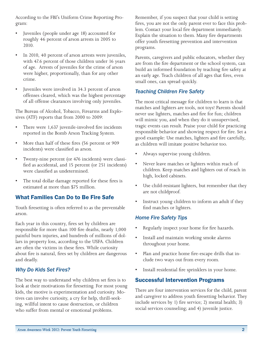According to the FBI's [Uniform Crime Reporting Pro](http://www.fbi.gov/about-us/cjis/ucr/ucr)[gram](http://www.fbi.gov/about-us/cjis/ucr/ucr):

- Juveniles (people under age 18) accounted for roughly 46 percent of arson arrests in 2005 to 2010.
- In 2010, 40 percent of arson arrests were juveniles, with 47.6 percent of those children under 16 years of age. Arrests of juveniles for the crime of arson were higher, proportionally, than for any other crime.
- • Juveniles were involved in 34.3 percent of arson offenses cleared, which was the highest percentage of all offense clearances involving only juveniles.

The [Bureau of Alcohol, Tobacco, Firearms and Explo](http://www.atf.gov/applications/bats/index.html)[sives](http://www.atf.gov/applications/bats/index.html) (ATF) reports that from 2000 to 2009:

- There were 1,637 juvenile-involved fire incidents reported in the Bomb Arson Tracking System.
- More than half of these fires (56 percent or 909 incidents) were classified as arson.
- Twenty-nine percent (or 476 incidents) were classified as accidental, and 15 percent (or 251 incidents) were classified as undetermined.
- The total dollar damage reported for these fires is estimated at more than \$75 million.

#### What Families Can Do to Be Fire Safe

Youth firesetting is often referred to as the preventable arson.

Each year in this country, fires set by children are responsible for more than 100 fire deaths, nearly 1,000 painful burn injuries, and hundreds of millions of dollars in property loss, according to the USFA. Children are often the victims in these fires. While curiosity about fire is natural, fires set by children are dangerous and deadly.

#### *Why Do Kids Set Fires?*

The best way to understand why children set fires is to look at their motivations for firesetting. For most young kids, the motive is experimentation and curiosity. Motives can involve curiosity, a cry for help, thrill-seeking, willful intent to cause destruction, or children who suffer from mental or emotional problems.

Remember, if you suspect that your child is setting fires, you are not the only parent ever to face this problem. Contact your local fire department immediately. Explain the situation to them. Many fire departments offer youth firesetting prevention and intervention programs.

Parents, caregivers and public educators, whether they are from the fire department or the school system, can build an informed foundation by teaching fire safety at an early age. Teach children of all ages that fires, even small ones, can spread quickly.

#### *Teaching Children Fire Safety*

The most critical message for children to learn is that matches and lighters are tools, not toys! Parents should never use lighters, matches and fire for fun; children will mimic you, and when they do it unsupervised, tragic events can result. Praise your child for practicing responsible behavior and showing respect for fire. Set a good example: Use matches, lighters and fire carefully, as children will imitate positive behavior too.

- Always supervise young children.
- Never leave matches or lighters within reach of children. Keep matches and lighters out of reach in high, locked cabinets.
- Use child-resistant lighters, but remember that they are not childproof.
- Instruct young children to inform an adult if they find matches or lighters.

#### *Home Fire Safety Tips*

- Regularly inspect your home for fire hazards.
- Install and maintain [working smoke alarms](http://www.usfa.fema.gov/campaigns/smokealarms/alarms/index.shtm) throughout your home.
- Plan and practice [home fire-escape drills](http://www.usfa.fema.gov/campaigns/smokealarms/escapeplans/index.shtm) that include two ways out from every room.
- Install [residential fire sprinklers](http://www.usfa.fema.gov/campaigns/smokealarms/sprinklers/index.shtm) in your home.

#### Successful Intervention Programs

There are four intervention services for the child, parent and caregiver to address youth firesetting behavior. They include services by 1) fire service; 2) mental health; 3) social services counseling; and 4) juvenile justice.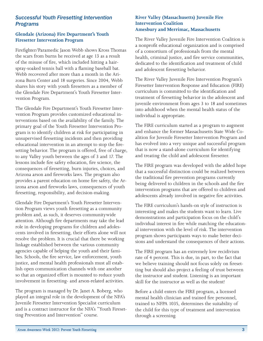#### *Successful Youth Firesetting Intervention Programs*

#### **Glendale (Arizona) Fire Department's Youth Firesetter Intervention Program**

Firefighter/Paramedic Jason Webb shows Kross Thomas the scars from burns he received at age 13 as a result of the misuse of fire, which included hitting a hairspray-soaked tennis ball with a flaming baseball bat. Webb recovered after more than a month in the Arizona Burn Center and 18 surgeries. Since 2004, Webb shares his story with youth firesetters as a member of the [Glendale Fire Department's Youth Firesetter Inter](http://www.glendaleaz.com/education/youthfiresetterintervention.cfm)[vention Program](http://www.glendaleaz.com/education/youthfiresetterintervention.cfm).

The Glendale Fire Department's Youth Firesetter Intervention Program provides customized educational interventions based on the availability of the family. The primary goal of the Youth Firesetter Intervention Program is to identify children at risk for participating in unsupervised firesetting incidents and then providing educational intervention in an attempt to stop the firesetting behavior. The program is offered, free of charge, to any Valley youth between the ages of 3 and 17. The lessons include fire safety education, fire science, the consequences of firesetting, burn injuries, choices, and Arizona arson and fireworks laws. The program also provides a parent education on home fire safety, the Arizona arson and fireworks laws, consequences of youth firesetting, responsibility, and decision-making.

Glendale Fire Department's Youth Firesetter Intervention Program views youth firesetting as a community problem and, as such, it deserves communitywide attention. Although fire departments may take the lead role in developing programs for children and adolescents involved in firesetting, their efforts alone will not resolve the problem. It is crucial that there be working linkage established between the various community agencies capable of helping the youth and their families. Schools, the fire service, law enforcement, youth justice, and mental health professionals must all establish open communication channels with one another so that an organized effort is mounted to reduce youth involvement in firesetting- and arson-related activities.

The program is managed by Dr. Janet A. Boberg, who played an integral role in the development of the NFA's Juvenile Firesetter Intervention Specialist curriculum and is a contract instructor for the NFA's "Youth Firesetting Prevention and Intervention" course.

#### **River Valley (Massachusetts) Juvenile Fire Intervention Coalition Amesbury and Merrimac, Massachusetts**

The [River Valley Juvenile Fire Intervention Coalition](http://www.RVJFIP.org) is a nonprofit educational organization and is comprised of a consortium of professionals from the mental health, criminal justice, and fire service communities, dedicated to the identification and treatment of child and adolescent firesetting behavior.

The River Valley Juvenile Fire Intervention Program's Firesetter Intervention Response and Education (FIRE) curriculum is committed to the identification and treatment of firesetting behavior in the adolescent and juvenile environment from ages 3 to 18 and sometimes into adulthood when the mental health status of the individual is appropriate.

The FIRE curriculum started as a program to augment and enhance the former Massachusetts State Wide Coalition for Juvenile Firesetter Intervention Program and has evolved into a very unique and successful program that is now a stand-alone curriculum for identifying and treating the child and adolescent firesetter.

The FIRE program was developed with the added hope that a successful distinction could be realized between the traditional fire prevention programs currently being delivered to children in the schools and the fire intervention programs that are offered to children and adolescents already involved in negative fire activities.

The FIRE curriculum's hands-on style of instruction is interesting and makes the students want to learn. Live demonstrations and participation focus on the child's individual interest in fire while matching the educational intervention with the level of risk. The intervention program shows participants ways to make better decisions and understand the consequences of their actions.

The FIRE program has an extremely low recidivism rate of 4 percent. This is due, in part, to the fact that we believe training should not focus solely on firesetting but should also project a feeling of trust between the instructor and student. Listening is an important skill for the instructor as well as the student!

Before a child enters the FIRE program, a licensed mental health clinician and trained fire personnel, trained to NFPA 1035, determines the suitability of the child for this type of treatment and intervention through a screening.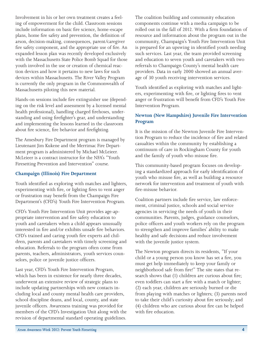Involvement in his or her own treatment creates a feeling of empowerment for the child. Classroom sessions include information on basic fire science, home-escape plans, home fire safety and prevention, the definition of arson, decision-making, consequences, parent/caregiver fire safety component, and the appropriate use of fire. An expanded lesson plan was recently developed exclusively with the Massachusetts State Police Bomb Squad for those youth involved in the use or creation of chemical reaction devices and how it pertains to new laws for such devices within Massachusetts. The River Valley Program is currently the only program in the Commonwealth of Massachusetts piloting this new material.

Hands-on sessions include fire extinguisher use (depending on the risk level and assessment by a licensed mental health professional), handling charged firehoses, understanding and using firefighter's gear, and understanding and implementing the lessons learned in the classroom about fire science, fire behavior and firefighting.

The Amesbury Fire Department program is managed by Lieutenant Jim Kukene and the Merrimac Fire Department program is administered by Michael McLeieer. McLeieer is a contract instructor for the NFA's "Youth Firesetting Prevention and Intervention" course.

#### **Champaign (Illinois) Fire Department**

Youth identified as exploring with matches and lighters, experimenting with fire, or lighting fires to vent anger or frustration may benefit from the [Champaign Fire](http://ci.champaign.il.us/departments/fire/cfd-prevention/y-fire-youthful-firesetter-program/)  [Department's \(CFD's\) Youth Fire Intervention Program](http://ci.champaign.il.us/departments/fire/cfd-prevention/y-fire-youthful-firesetter-program/).

CFD's Youth Fire Intervention Unit provides age-appropriate intervention and fire safety education to youth and caretakers when a child appears unusually interested in fire and/or exhibits unsafe fire behaviors. CFD's trained and caring youth fire experts aid children, parents and caretakers with timely screening and education. Referrals to the program often come from parents, teachers, administrators, youth services counselors, police or juvenile justice officers.

Last year, CFD's Youth Fire Intervention Program, which has been in existence for nearly three decades, underwent an extensive review of strategic plans to include updating partnerships with new contacts including local and county mental health care providers, school discipline deans, and local, county, and state juvenile officers. Awareness training was provided for members of the CFD's Investigation Unit along with the revision of departmental standard operating guidelines.

The coalition building and community education components continue with a media campaign to be rolled out in the fall of 2012. With a firm foundation of resource and information about the program out in the community, Champaign's Youth Fire Intervention Unit is prepared for an upswing in identified youth needing such services. Last year, the team provided screening and education to seven youth and caretakers with two referrals to Champaign County's mental health care providers. Data in early 2000 showed an annual average of 30 youth receiving intervention services.

Youth identified as exploring with matches and lighters, experimenting with fire, or lighting fires to vent anger or frustration will benefit from CFD's Youth Fire Intervention Program.

#### **Newton (New Hampshire) Juvenile Fire Intervention Program**

It is the mission of the [Newton Juvenile Fire Interven](http://www.newton-nh.gov/Pages/NewtonNH_Fire/firesetter)[tion Program](http://www.newton-nh.gov/Pages/NewtonNH_Fire/firesetter) to reduce the incidence of fire and related casualties within the community by establishing a continuum of care in Rockingham County for youth and the family of youth who misuse fire.

This community-based program focuses on developing a standardized approach for early identification of youth who misuse fire, as well as building a resource network for intervention and treatment of youth with fire-misuse behavior.

Coalition partners include fire service, law enforcement, criminal justice, schools and social service agencies in servicing the needs of youth in their communities. Parents, judges, guidance counselors, police officers and youth workers rely on the program to strengthen and improve families' ability to make healthy and safe decisions and reduce involvement with the juvenile justice system.

The Newton program directs its residents, "If your child or a young person you know has set a fire, you must get help immediately to keep your family or neighborhood safe from fire!" The site states that research shows that (1) children are curious about fire; even toddlers can start a fire with a match or lighter; (2) each year, children are seriously burned or die from playing with matches or lighters; (3) parents need to take their child's curiosity about fire seriously; and (4) children who are curious about fire can be helped with fire education.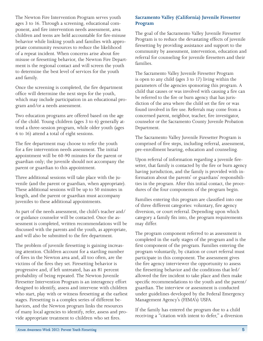The Newton Fire Intervention Program serves youth ages 3 to 16. Through a screening, educational component, and fire intervention needs assessment, area children and teens are held accountable for fire-misuse behavior while linking youth and families with appropriate community resources to reduce the likelihood of a repeat incident. When concerns arise about fire misuse or firesetting behavior, the Newton Fire Department is the regional contact and will screen the youth to determine the best level of services for the youth and family.

Once the screening is completed, the fire department office will determine the next steps for the youth, which may include participation in an educational program and/or a needs assessment.

Two education programs are offered based on the age of the child. Young children (ages 3 to 6) generally attend a three-session program, while older youth (ages 6 to 16) attend a total of eight sessions.

The fire department may choose to refer the youth for a fire intervention needs assessment. The initial appointment will be 60-90 minutes for the parent or guardian only; the juvenile should not accompany the parent or guardian to this appointment.

Three additional sessions will take place with the juvenile (and the parent or guardian, when appropriate). These additional sessions will be up to 50 minutes in length, and the parent or guardian must accompany juveniles to these additional appointments.

As part of the needs assessment, the child's teacher and/ or guidance counselor will be contacted. Once the assessment is completed, written recommendations will be discussed with the parents and the youth, as appropriate, and will also be submitted to the fire department.

The problem of juvenile firesetting is gaining increasing attention. Children account for a startling number of fires in the Newton area and, all too often, are the victims of the fires they set. Firesetting behavior is progressive and, if left untreated, has an 81 percent probability of being repeated. The Newton Juvenile Firesetter Intervention Program is an interagency effort designed to identify, assess and intervene with children who start, play with or witness firesetting at the earliest stages. Firesetting is a complex series of different behaviors, and the Newton program links the resources of many local agencies to identify, refer, assess and provide appropriate treatment to children who set fires.

#### **Sacramento Valley (California) Juvenile Firesetter Program**

The goal of the [Sacramento Valley Juvenile Firesetter](http://firesetter.com)  [Program](http://firesetter.com) is to reduce the devastating effects of juvenile firesetting by providing assistance and support to the community by assessment, intervention, education and referral for counseling for juvenile firesetters and their families.

The Sacramento Valley Juvenile Firesetter Program is open to any child (ages 3 to 17) living within the parameters of the agencies sponsoring this program. A child that causes or was involved with causing a fire can be referred to the fire or burn agency that has jurisdiction of the area where the child set the fire or was found involved in fire use. Referrals may come from a concerned parent, neighbor, teacher, fire investigator, counselor or the Sacramento County Juvenile Probation Department.

The Sacramento Valley Juvenile Firesetter Program is comprised of five steps, including referral, assessment, pre-enrollment hearing, education and counseling.

Upon referral of information regarding a juvenile firesetter, that family is contacted by the fire or burn agency having jurisdiction, and the family is provided with information about the parents' or guardians' responsibilities in the program. After this initial contact, the procedures of the four components of the program begin.

Families entering this program are classified into one of three different categories: voluntary, fire agency diversion, or court referral. Depending upon which category a family fits into, the program requirements may differ.

The program component referred to as assessment is completed in the early stages of the program and is the first component of the program. Families entering the program voluntarily, by citation or court referral must participate in this component. The assessment gives the fire agency interviewer the opportunity to assess the firesetting behavior and the conditions that led/ allowed the fire incident to take place and then make specific recommendations to the youth and the parent/ guardian. The interview or assessment is conducted under guidelines developed by the Federal Emergency Management Agency's (FEMA's) USFA.

If the family has entered the program due to a child receiving a "citation with intent to defer," a diversion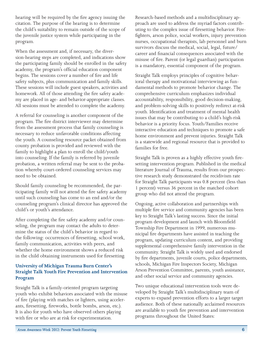hearing will be required by the fire agency issuing the citation. The purpose of the hearing is to determine the child's suitability to remain outside of the scope of the juvenile justice system while participating in the program.

When the assessment and, if necessary, the diversion-hearing steps are completed, and indications show the participating family should be enrolled in the safety academy, the program's official education component begins. The sessions cover a number of fire and life safety subjects, plus communication and family skills. These sessions will include guest speakers, activities and homework. All of those attending the fire safety academy are placed in age- and behavior-appropriate classes. All sessions must be attended to complete the academy.

A referral for counseling is another component of the program. The fire district interviewer may determine from the assessment process that family counseling is necessary to reduce unfavorable conditions affecting the youth. A counseling resource packet obtained from county probation is provided and reviewed with the family to highlight a plan to enroll the child/youth into counseling. If the family is referred by juvenile probation, a written referral may be sent to the probation whereby court-ordered counseling services may need to be obtained.

Should family counseling be recommended, the participating family will not attend the fire safety academy until such counseling has come to an end and/or the counseling program's clinical director has approved the child's or youth's attendance.

After completing the fire safety academy and/or counseling, the program may contact the adults to determine the status of the child's behavior in regard to the following: occurrences of firesetting, school work, family communication, activities with peers, and whether the home environment shows a reduced risk in the child obtaining instruments used for firesetting.

#### **University of Michigan Trauma Burn Center's Straight Talk Youth Fire Prevention and Intervention Program**

[Straight Talk](http://www.traumaburn.org/prevention/outreach.shtml) is a family-oriented program targeting youth who exhibit behaviors associated with the misuse of fire (playing with matches or lighters, using accelerants, firesetting, fireworks, bottle bombs, arson, etc.). It is also for youth who have observed others playing with fire or who are at risk for experimentation.

Research-based methods and a multidisciplinary approach are used to address the myriad factors contributing to the complex issue of firesetting behavior. Firefighters, arson police, social workers, injury prevention nurses, occupational therapists, lab personnel and burn survivors discuss the medical, social, legal, future/ career and financial consequences associated with the misuse of fire. Parent (or legal guardian) participation is a mandatory, essential component of the program.

Straight Talk employs principles of cognitive behavioral therapy and motivational interviewing as fundamental methods to promote behavior change. The comprehensive curriculum emphasizes individual accountability, responsibility, good decision-making, and problem-solving skills to positively redirect at-risk youth. Identification and treatment of mental health issues that may be contributing to a child's high-risk behavior is a priority focus. Youth/Families receive interactive education and techniques to promote a safe home environment and prevent injuries. Straight Talk is a statewide and regional resource that is provided to families for free.

Straight Talk is proven as a highly effective youth firesetting intervention program. Published in the medical literature Journal of Trauma, results from our prospective research study demonstrated the recidivism rate for Straight Talk participants was 0.8 percent (less than 1 percent) versus 36 percent in the matched cohort group who did not attend the program.

Ongoing, active collaboration and partnerships with multiple fire service and community agencies has been key to Straight Talk's lasting success. Since the initial program development and launch with Bloomfield Township Fire Department in 1999, numerous municipal fire departments have assisted in teaching the program, updating curriculum content, and providing supplemental comprehensive family intervention in the community. Straight Talk is widely used and endorsed by fire departments, juvenile courts, police departments, schools, Michigan Fire Inspectors Society, Michigan Arson Prevention Committee, parents, youth assistance, and other social service and community agencies.

Two unique educational intervention tools were developed by Straight Talk's multidisciplinary team of experts to expand prevention efforts to a larger target audience. Both of these nationally acclaimed resources are available to youth fire prevention and intervention programs throughout the United States: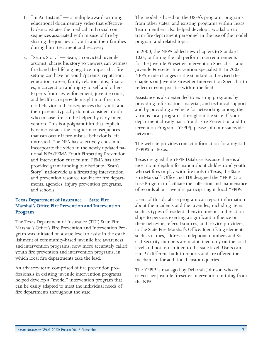- 1. "In An Instant" a multiple award-winning educational documentary video that effectively demonstrates the medical and social consequences associated with misuse of fire by sharing the journey of youth and their families during burn treatment and recovery.
- 2. "Sean's Story" Sean, a convicted juvenile arsonist, shares his story so viewers can witness firsthand the lifelong negative impact that firesetting can have on youth/parents' reputation, education, career, family relationships, finances, incarceration and injury to self and others. Experts from law enforcement, juvenile court, and health care provide insight into fire-misuse behavior and consequences that youth and their parents typically do not consider. Youth who misuse fire can be helped by early intervention. This is a poignant film that explicitly demonstrates the long-term consequences that can occur if fire-misuse behavior is left untreated. The NFA has selectively chosen to incorporate the video in the newly updated national NFA/FEMA Youth Firesetting Prevention and Intervention curriculum. FEMA has also provided grant funding to distribute "Sean's Story" nationwide as a firesetting intervention and prevention resource toolkit for fire departments, agencies, injury prevention programs, and schools.

#### **Texas Department of Insurance — State Fire Marshal's Office Fire Prevention and Intervention Program**

The [Texas Department of Insurance \(TDI\) State Fire](http://www.tdi.texas.gov/fire/fmjuv.html)  [Marshal's Office's Fire Prevention and Intervention Pro](http://www.tdi.texas.gov/fire/fmjuv.html)[gram](http://www.tdi.texas.gov/fire/fmjuv.html) was initiated on a state level to assist in the establishment of community-based juvenile fire awareness and intervention programs, now more accurately called youth fire prevention and intervention programs, in which local fire departments take the lead.

An advisory team comprised of fire prevention professionals in existing juvenile intervention programs helped develop a "model" intervention program that can be easily adapted to meet the individual needs of fire departments throughout the state.

The model is based on the USFA's program, programs from other states, and existing programs within Texas. Team members also helped develop a workshop to train fire department personnel in the use of the model program and related topics.

In 2000, the NFPA added new chapters to Standard 1035, outlining the job performance requirements for the Juvenile Firesetter Intervention Specialist I and Juvenile Firesetter Intervention Specialist II. In 2005, NFPA made changes to the standard and revised the chapters on Juvenile Firesetter Intervention Specialist to reflect current practice within the field.

Assistance is also extended to existing programs by providing information, material, and technical support and by providing a vehicle for networking among the various local programs throughout the state. If your department already has a Youth Fire Prevention and Intervention Program (YFPIP), please join our statewide network.

The website provides contact information for a myriad YFPIPS in Texas.

Texas designed the YFPIP Database. Because there is almost no in-depth information about children and youth who set fires or play with fire tools in Texas, the State Fire Marshal's Office and TDI designed the YFPIP Database Program to facilitate the collection and maintenance of records about juveniles participating in local YFPIPs.

Users of this database program can report information about the incidents and the juveniles, including items such as types of residential environments and relationships to persons exerting a significant influence on their behavior, referral sources, and service providers, to the State Fire Marshal's Office. Identifying elements such as names, addresses, telephone numbers and Social Security numbers are maintained only on the local level and not transmitted to the state level. Users can run 27 different built-in reports and are offered the mechanism for additional custom queries.

The YFPIP is managed by Deborah Johnson who received her juvenile firesetter intervention training from the NFA.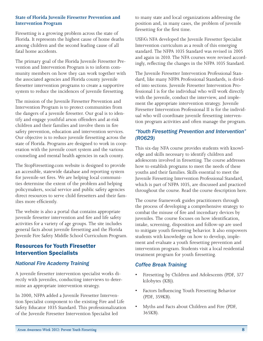#### **State of Florida Juvenile Firesetter Prevention and Intervention Program**

Firesetting is a growing problem across the state of Florida. It represents the highest cause of home deaths among children and the second leading cause of all fatal home accidents.

The primary goal of the [Florida Juvenile Firesetter Pre](http://www.stopfiresetting.com)[vention and Intervention Program](http://www.stopfiresetting.com) is to inform community members on how they can work together with the associated agencies and Florida county juvenile firesetter intervention programs to create a supportive system to reduce the incidences of juvenile firesetting.

The mission of the Juvenile Firesetter Prevention and Intervention Program is to protect communities from the dangers of a juvenile firesetter. Our goal is to identify and engage youthful arson offenders and at-risk children and their families and involve them in fire safety prevention, education and intervention services. Our objective is to reduce juvenile firesetting across the state of Florida. Programs are designed to work in cooperation with the juvenile court system and the various counseling and mental health agencies in each county.

The StopFiresetting.com website is designed to provide an accessible, statewide database and reporting system for juvenile-set fires. We are helping local communities determine the extent of the problem and helping policymakers, social service and public safety agencies direct resources to serve child firesetters and their families more efficiently.

The website is also a portal that contains appropriate juvenile firesetter intervention and fire and life safety activities for a variety of age groups. The site includes general facts about juvenile firesetting and the Florida Juvenile Fire Safety Middle School Curriculum Program.

#### Resources for Youth Firesetter Intervention Specialists

#### *National Fire Academy Training*

A juvenile firesetter intervention specialist works directly with juveniles, conducting interviews to determine an appropriate intervention strategy.

In 2000, NFPA added a Juvenile Firesetter Intervention Specialist component to the existing [Fire and Life](http://www.nfpa.org/aboutthecodes/AboutTheCodes.asp?DocNum=1035%26cookie_test=1)  [Safety Educator 1035 Standard](http://www.nfpa.org/aboutthecodes/AboutTheCodes.asp?DocNum=1035%26cookie_test=1). This professionalization of the Juvenile Firesetter Intervention Specialist led

to many state and local organizations addressing the position and, in many cases, the problem of juvenile firesetting for the first time.

USFA's NFA developed the Juvenile Firesetter Specialist Intervention curriculum as a result of this emerging standard. The NFPA 1035 Standard was revised in 2005 and again in 2010. The NFA courses were revised accordingly, reflecting the changes in the NFPA 1035 Standard.

The Juvenile Firesetter Intervention Professional Standard, like many NFPA Professional Standards, is divided into sections. Juvenile Firesetter Intervention Professional I is for the individual who will work directly with the juvenile, conduct the interview, and implement the appropriate intervention strategy. Juvenile Firesetter Intervention Professional II is for the individual who will coordinate juvenile firesetting intervention program activities and often manage the program.

#### *"Youth Firesetting Prevention and Intervention" (R0629)*

This six-day NFA course provides students with knowledge and skills necessary to identify children and adolescents involved in firesetting. The course addresses how to establish programs to meet the needs of these youths and their families. Skills essential to meet the Juvenile Firesetting Intervention Professional Standard, which is part of NFPA 1035, are discussed and practiced throughout the course. [Read the course description here](http://apps.usfa.fema.gov/nfacourses/catalog/details/10435).

The course framework guides practitioners through the process of developing a comprehensive strategy to combat the misuse of fire and incendiary devices by juveniles. The course focuses on how identification, intake, screening, disposition and follow-up are used to mitigate youth firesetting behavior. It also empowers students with knowledge on how to develop, implement and evaluate a youth firesetting prevention and intervention program. Students visit a local residential treatment program for youth firesetting.

#### *Coffee Break Training*

- [Firesetting by Children and Adolescents](http://www.usfa.fema.gov/downloads/pdf/coffee-break/fm/fm_2011_4.pdf) (PDF, 377) kilobytes (KB)).
- [Factors Influencing Youth Firesetting Behavior](http://www.usfa.fema.gov/downloads/pdf/coffee-break/fm/fm_2011_2.pdf) (PDF, 359KB).
- [Myths and Facts about Children and Fire](http://www.usfa.fema.gov/downloads/pdf/coffee-break/fm/fm_2011_3.pdf) (PDF, 365KB).